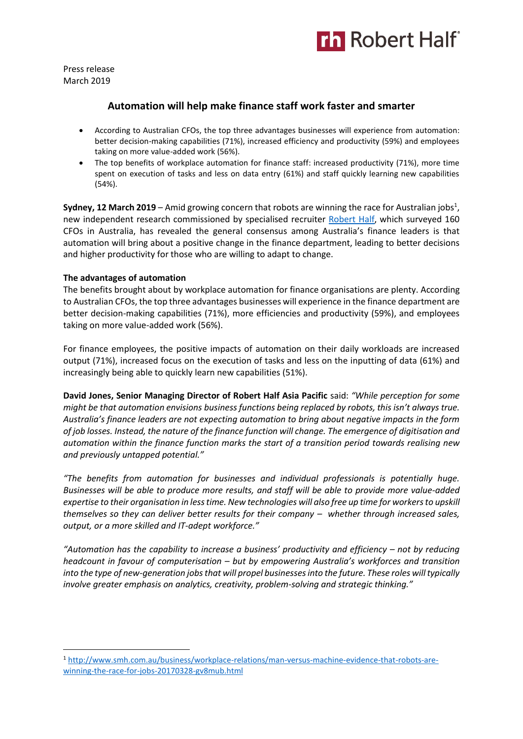

Press release March 2019

# **Automation will help make finance staff work faster and smarter**

- According to Australian CFOs, the top three advantages businesses will experience from automation: better decision-making capabilities (71%), increased efficiency and productivity (59%) and employees taking on more value-added work (56%).
- The top benefits of workplace automation for finance staff: increased productivity (71%), more time spent on execution of tasks and less on data entry (61%) and staff quickly learning new capabilities (54%).

**Sydney, 12 March 2019** – Amid growing concern that robots are winning the race for Australian jobs<sup>1</sup>, new independent research commissioned by specialised recruiter [Robert Half,](https://www.roberthalf.com.au/?utm_source=roberthalf&utm_medium=pressrelease&utm_campaign=rh-all-nonspecific-ongoing) which surveyed 160 CFOs in Australia, has revealed the general consensus among Australia's finance leaders is that automation will bring about a positive change in the finance department, leading to better decisions and higher productivity for those who are willing to adapt to change.

## **The advantages of automation**

1

The benefits brought about by workplace automation for finance organisations are plenty. According to Australian CFOs, the top three advantages businesses will experience in the finance department are better decision-making capabilities (71%), more efficiencies and productivity (59%), and employees taking on more value-added work (56%).

For finance employees, the positive impacts of automation on their daily workloads are increased output (71%), increased focus on the execution of tasks and less on the inputting of data (61%) and increasingly being able to quickly learn new capabilities (51%).

**David Jones, Senior Managing Director of Robert Half Asia Pacific** said: *"While perception for some might be that automation envisions business functions being replaced by robots, this isn't always true. Australia's finance leaders are not expecting automation to bring about negative impacts in the form of job losses. Instead, the nature of the finance function will change. The emergence of digitisation and automation within the finance function marks the start of a transition period towards realising new and previously untapped potential."*

*"The benefits from automation for businesses and individual professionals is potentially huge. Businesses will be able to produce more results, and staff will be able to provide more value-added expertise to their organisation in less time. New technologies will also free up time for workers to upskill themselves so they can deliver better results for their company – whether through increased sales, output, or a more skilled and IT-adept workforce."*

*"Automation has the capability to increase a business' productivity and efficiency – not by reducing headcount in favour of computerisation – but by empowering Australia's workforces and transition into the type of new-generation jobs that will propel businesses into the future. These roles will typically involve greater emphasis on analytics, creativity, problem-solving and strategic thinking."*

<sup>1</sup> [http://www.smh.com.au/business/workplace-relations/man-versus-machine-evidence-that-robots-are](http://www.smh.com.au/business/workplace-relations/man-versus-machine-evidence-that-robots-are-winning-the-race-for-jobs-20170328-gv8mub.html)[winning-the-race-for-jobs-20170328-gv8mub.html](http://www.smh.com.au/business/workplace-relations/man-versus-machine-evidence-that-robots-are-winning-the-race-for-jobs-20170328-gv8mub.html)